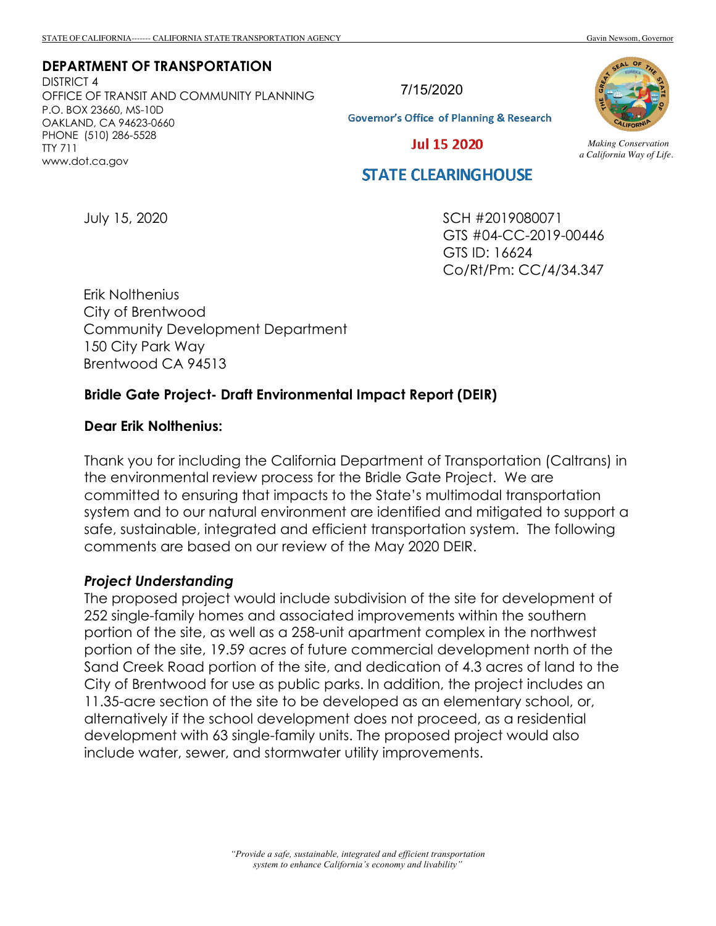#### **DEPARTMENT OF TRANSPORTATION**

DISTRICT 4 OFFICE OF TRANSIT AND COMMUNITY PLANNING P.O. BOX 23660, MS-10D OAKLAND, CA 94623-0660 PHONE (510) 286-5528 TTY 711 www.dot.ca.gov

7/15/2020

**Governor's Office of Planning & Research** 

**Jul 15 2020** 

# **STATE CLEARINGHOUSE**

July 15, 2020

SCH #2019080071 GTS #04-CC-2019-00446 GTS ID: 16624 Co/Rt/Pm: CC/4/34.347

Erik Nolthenius City of Brentwood Community Development Department 150 City Park Way Brentwood CA 94513

### **Bridle Gate Project- Draft Environmental Impact Report (DEIR)**

#### **Dear Erik Nolthenius:**

Thank you for including the California Department of Transportation (Caltrans) in the environmental review process for the Bridle Gate Project. We are committed to ensuring that impacts to the State's multimodal transportation system and to our natural environment are identified and mitigated to support a safe, sustainable, integrated and efficient transportation system. The following comments are based on our review of the May 2020 DEIR.

#### *Project Understanding*

The proposed project would include subdivision of the site for development of 252 single-family homes and associated improvements within the southern portion of the site, as well as a 258-unit apartment complex in the northwest portion of the site, 19.59 acres of future commercial development north of the Sand Creek Road portion of the site, and dedication of 4.3 acres of land to the City of Brentwood for use as public parks. In addition, the project includes an 11.35-acre section of the site to be developed as an elementary school, or, alternatively if the school development does not proceed, as a residential development with 63 single-family units. The proposed project would also include water, sewer, and stormwater utility improvements.



*Making Conservation a California Way of Life.*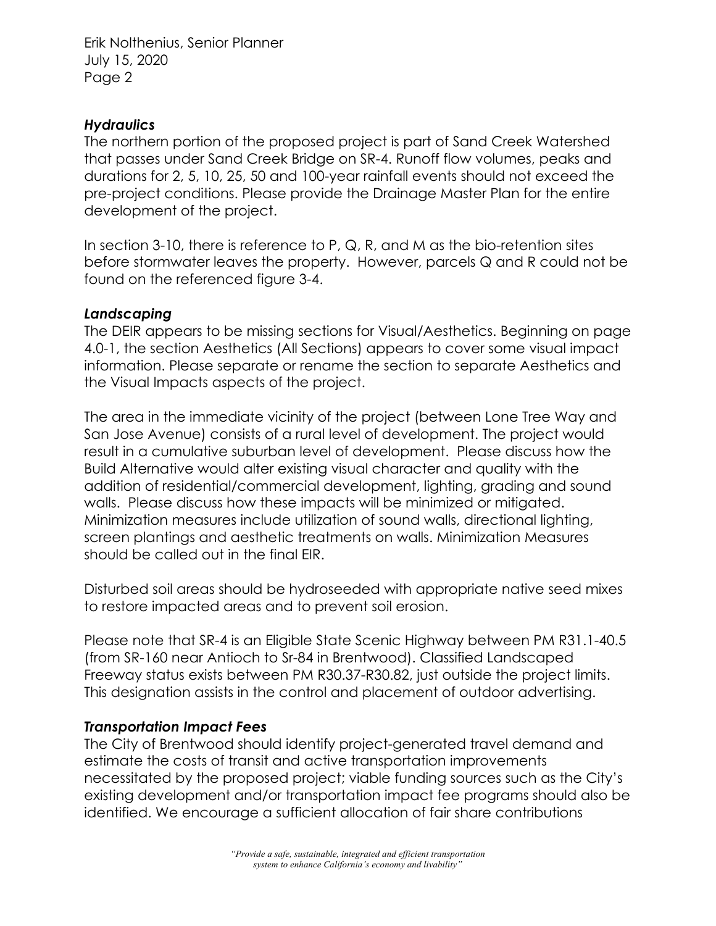Erik Nolthenius, Senior Planner July 15, 2020 Page 2

## *Hydraulics*

The northern portion of the proposed project is part of Sand Creek Watershed that passes under Sand Creek Bridge on SR-4. Runoff flow volumes, peaks and durations for 2, 5, 10, 25, 50 and 100-year rainfall events should not exceed the pre-project conditions. Please provide the Drainage Master Plan for the entire development of the project.

In section 3-10, there is reference to P, Q, R, and M as the bio-retention sites before stormwater leaves the property. However, parcels Q and R could not be found on the referenced figure 3-4.

# *Landscaping*

The DEIR appears to be missing sections for Visual/Aesthetics. Beginning on page 4.0-1, the section Aesthetics (All Sections) appears to cover some visual impact information. Please separate or rename the section to separate Aesthetics and the Visual Impacts aspects of the project.

The area in the immediate vicinity of the project (between Lone Tree Way and San Jose Avenue) consists of a rural level of development. The project would result in a cumulative suburban level of development. Please discuss how the Build Alternative would alter existing visual character and quality with the addition of residential/commercial development, lighting, grading and sound walls. Please discuss how these impacts will be minimized or mitigated. Minimization measures include utilization of sound walls, directional lighting, screen plantings and aesthetic treatments on walls. Minimization Measures should be called out in the final EIR.

Disturbed soil areas should be hydroseeded with appropriate native seed mixes to restore impacted areas and to prevent soil erosion.

Please note that SR-4 is an Eligible State Scenic Highway between PM R31.1-40.5 (from SR-160 near Antioch to Sr-84 in Brentwood). Classified Landscaped Freeway status exists between PM R30.37-R30.82, just outside the project limits. This designation assists in the control and placement of outdoor advertising.

# *Transportation Impact Fees*

The City of Brentwood should identify project-generated travel demand and estimate the costs of transit and active transportation improvements necessitated by the proposed project; viable funding sources such as the City's existing development and/or transportation impact fee programs should also be identified. We encourage a sufficient allocation of fair share contributions